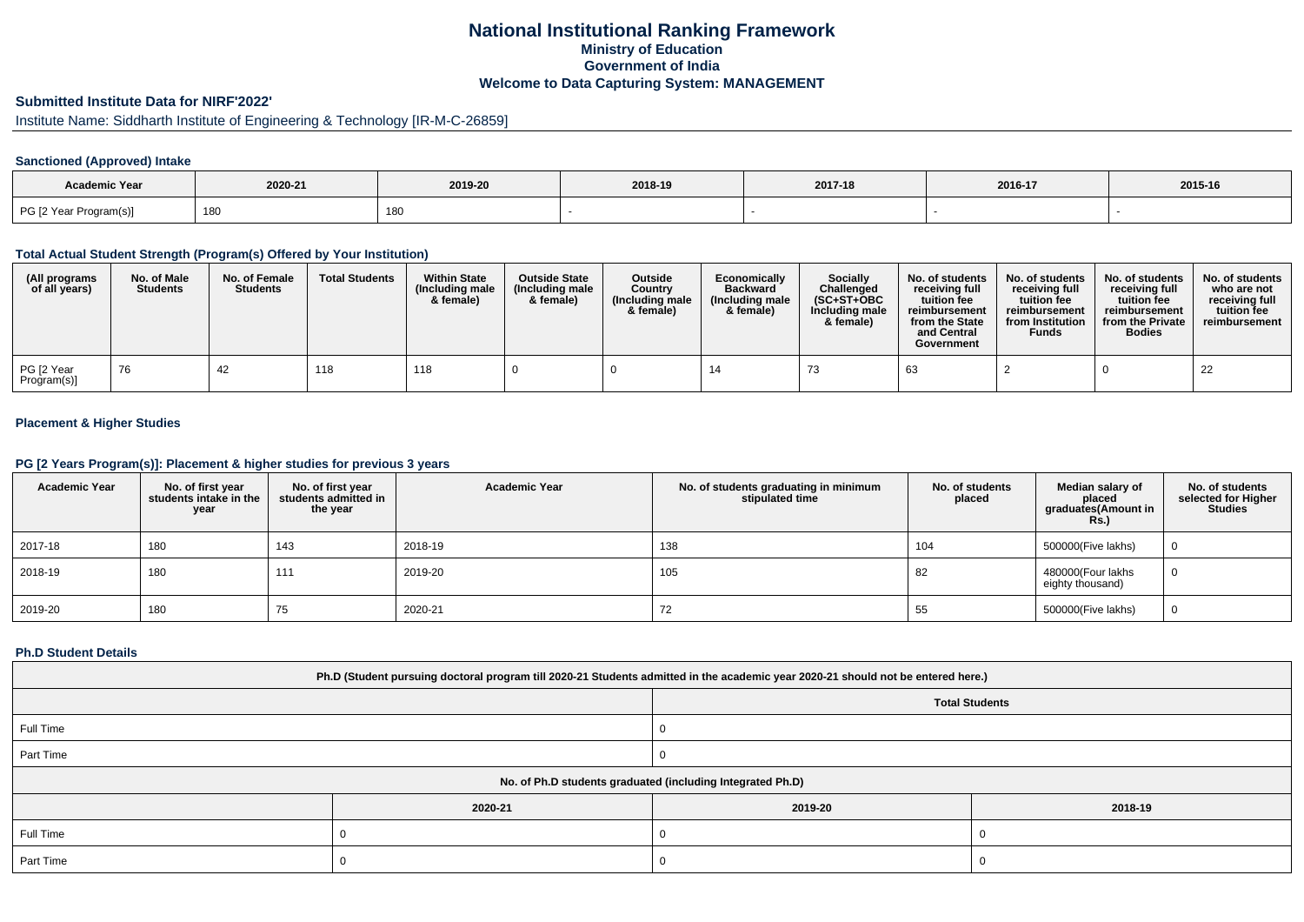# **National Institutional Ranking FrameworkMinistry of Education Government of IndiaWelcome to Data Capturing System: MANAGEMENT**

# **Submitted Institute Data for NIRF'2022'**

# Institute Name: Siddharth Institute of Engineering & Technology [IR-M-C-26859]

### **Sanctioned (Approved) Intake**

| Academic Year          |         |         |         |         |         |         |
|------------------------|---------|---------|---------|---------|---------|---------|
|                        | 2020-21 | 2019-20 | 2018-19 | 2017-18 | 2016-17 | 2015-16 |
| PG [2 Year Program(s)] | 180     | 180     |         |         |         |         |

#### **Total Actual Student Strength (Program(s) Offered by Your Institution)**

| (All programs<br>of all years) | No. of Male<br><b>Students</b> | No. of Female<br><b>Students</b> | <b>Total Students</b> | <b>Within State</b><br>(Including male<br>& female) | <b>Outside State</b><br>(Including male<br>& female) | Outside<br>Country<br>(Including male<br>& female) | Economically<br><b>Backward</b><br>(Including male<br>& female) | <b>Socially</b><br>Challenged<br>$(SC+ST+OBC$<br>Including male<br>& female) | No. of students<br>receivina full<br>tuition fee<br>reimbursement<br>from the State<br>and Central<br>Government | No. of students<br>receiving full<br>tuition fee<br>reimbursement<br>from Institution<br><b>Funds</b> | No. of students<br>receiving full<br>tuition fee<br>reimbursement<br>from the Private<br><b>Bodies</b> | No. of students  <br>who are not<br>receivina full<br>tuition fee<br>reimbursement |
|--------------------------------|--------------------------------|----------------------------------|-----------------------|-----------------------------------------------------|------------------------------------------------------|----------------------------------------------------|-----------------------------------------------------------------|------------------------------------------------------------------------------|------------------------------------------------------------------------------------------------------------------|-------------------------------------------------------------------------------------------------------|--------------------------------------------------------------------------------------------------------|------------------------------------------------------------------------------------|
| PG [2 Year<br>Program(s)]      | 76                             | 42                               | 118                   | 118                                                 |                                                      |                                                    |                                                                 | د ،                                                                          | 63                                                                                                               |                                                                                                       |                                                                                                        | 22                                                                                 |

## **Placement & Higher Studies**

#### **PG [2 Years Program(s)]: Placement & higher studies for previous 3 years**

| <b>Academic Year</b> | No. of first year<br>students intake in the<br>year | No. of first year<br>students admitted in<br>the year | <b>Academic Year</b> | No. of students graduating in minimum<br>stipulated time | No. of students<br>placed | Median salary of<br>placed<br>graduates(Amount in<br><b>Rs.)</b> | No. of students<br>selected for Higher<br><b>Studies</b> |
|----------------------|-----------------------------------------------------|-------------------------------------------------------|----------------------|----------------------------------------------------------|---------------------------|------------------------------------------------------------------|----------------------------------------------------------|
| 2017-18              | 180                                                 | 143                                                   | 2018-19              | 138                                                      | 104                       | 500000(Five lakhs)                                               | 0                                                        |
| 2018-19              | 180                                                 | 111                                                   | 2019-20              | 105                                                      | 82                        | 480000(Four lakhs<br>eighty thousand)                            | Ü                                                        |
| 2019-20              | 180                                                 | 75                                                    | 2020-21              | 72                                                       | 55                        | 500000(Five lakhs)                                               | 0                                                        |

#### **Ph.D Student Details**

| Ph.D (Student pursuing doctoral program till 2020-21 Students admitted in the academic year 2020-21 should not be entered here.) |         |                       |         |  |  |  |
|----------------------------------------------------------------------------------------------------------------------------------|---------|-----------------------|---------|--|--|--|
|                                                                                                                                  |         | <b>Total Students</b> |         |  |  |  |
| Full Time                                                                                                                        |         |                       |         |  |  |  |
| Part Time                                                                                                                        |         |                       |         |  |  |  |
| No. of Ph.D students graduated (including Integrated Ph.D)                                                                       |         |                       |         |  |  |  |
|                                                                                                                                  | 2020-21 | 2019-20               | 2018-19 |  |  |  |
| Full Time                                                                                                                        |         |                       |         |  |  |  |
| Part Time                                                                                                                        |         |                       |         |  |  |  |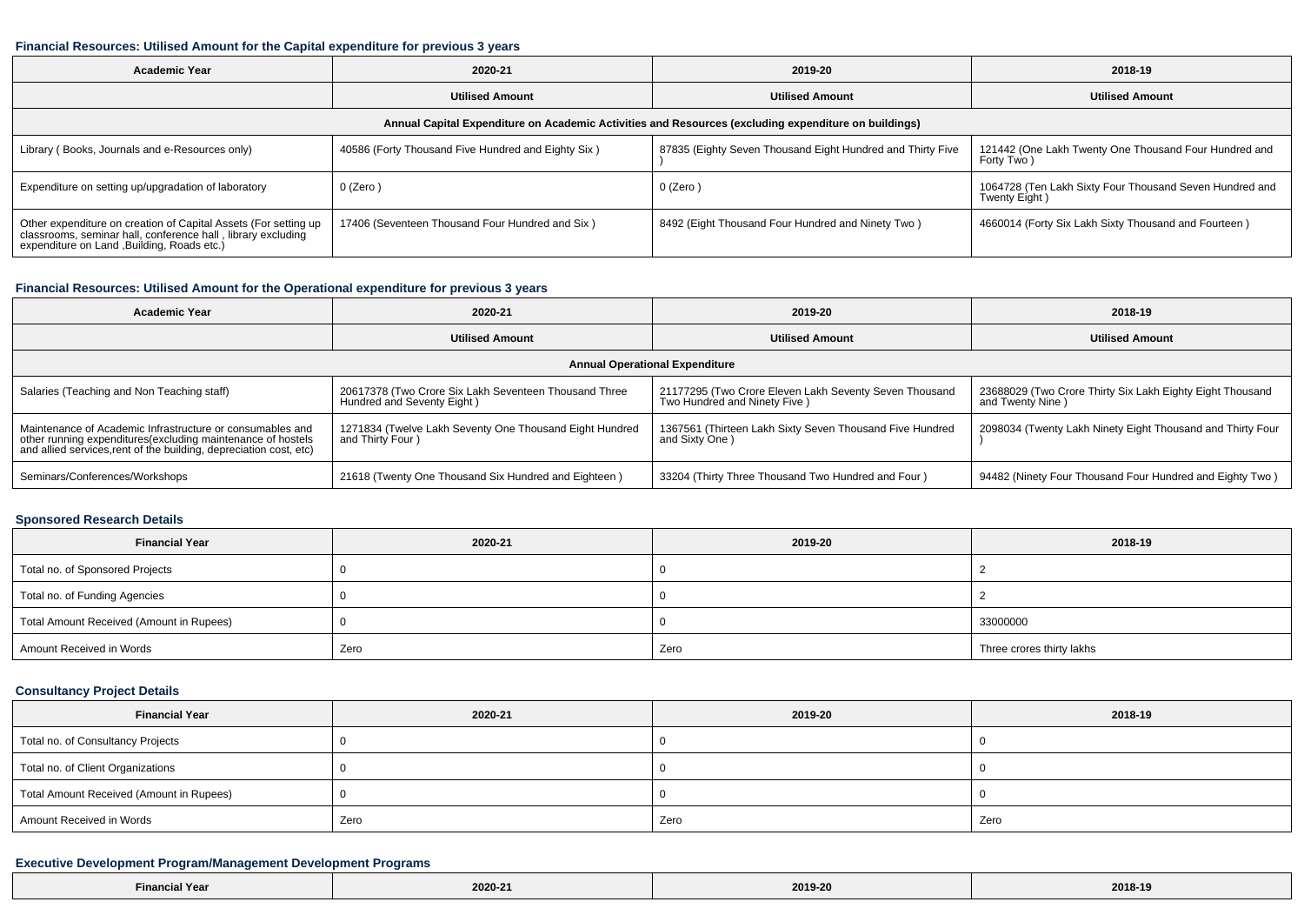#### **Financial Resources: Utilised Amount for the Capital expenditure for previous 3 years**

| <b>Academic Year</b>                                                                                                                                                           | 2020-21                                            | 2019-20                                                    | 2018-19                                                                  |  |  |  |  |  |
|--------------------------------------------------------------------------------------------------------------------------------------------------------------------------------|----------------------------------------------------|------------------------------------------------------------|--------------------------------------------------------------------------|--|--|--|--|--|
|                                                                                                                                                                                | <b>Utilised Amount</b>                             | <b>Utilised Amount</b>                                     | <b>Utilised Amount</b>                                                   |  |  |  |  |  |
| Annual Capital Expenditure on Academic Activities and Resources (excluding expenditure on buildings)                                                                           |                                                    |                                                            |                                                                          |  |  |  |  |  |
| Library (Books, Journals and e-Resources only)                                                                                                                                 | 40586 (Forty Thousand Five Hundred and Eighty Six) | 87835 (Eighty Seven Thousand Eight Hundred and Thirty Five | 121442 (One Lakh Twenty One Thousand Four Hundred and<br>Forty Two)      |  |  |  |  |  |
| Expenditure on setting up/upgradation of laboratory                                                                                                                            | 0 (Zero)                                           | 0 (Zero)                                                   | 1064728 (Ten Lakh Sixty Four Thousand Seven Hundred and<br>Twenty Eight) |  |  |  |  |  |
| Other expenditure on creation of Capital Assets (For setting up<br>classrooms, seminar hall, conference hall, library excluding<br>expenditure on Land , Building, Roads etc.) | 17406 (Seventeen Thousand Four Hundred and Six)    | 8492 (Eight Thousand Four Hundred and Ninety Two)          | 4660014 (Forty Six Lakh Sixty Thousand and Fourteen)                     |  |  |  |  |  |

#### **Financial Resources: Utilised Amount for the Operational expenditure for previous 3 years**

| <b>Academic Year</b>                                                                                                                                                                            | 2020-21                                                                             | 2019-20                                                                                | 2018-19                                                                       |  |  |  |  |  |
|-------------------------------------------------------------------------------------------------------------------------------------------------------------------------------------------------|-------------------------------------------------------------------------------------|----------------------------------------------------------------------------------------|-------------------------------------------------------------------------------|--|--|--|--|--|
|                                                                                                                                                                                                 | <b>Utilised Amount</b>                                                              | <b>Utilised Amount</b>                                                                 | <b>Utilised Amount</b>                                                        |  |  |  |  |  |
| <b>Annual Operational Expenditure</b>                                                                                                                                                           |                                                                                     |                                                                                        |                                                                               |  |  |  |  |  |
| Salaries (Teaching and Non Teaching staff)                                                                                                                                                      | 20617378 (Two Crore Six Lakh Seventeen Thousand Three<br>Hundred and Seventy Eight) | 21177295 (Two Crore Eleven Lakh Seventy Seven Thousand<br>Two Hundred and Ninety Five) | 23688029 (Two Crore Thirty Six Lakh Eighty Eight Thousand<br>and Twenty Nine) |  |  |  |  |  |
| Maintenance of Academic Infrastructure or consumables and<br>other running expenditures (excluding maintenance of hostels<br>and allied services, rent of the building, depreciation cost, etc) | 1271834 (Twelve Lakh Seventy One Thousand Eight Hundred<br>and Thirty Four)         | 1367561 (Thirteen Lakh Sixty Seven Thousand Five Hundred<br>and Sixty One)             | 2098034 (Twenty Lakh Ninety Eight Thousand and Thirty Four                    |  |  |  |  |  |
| Seminars/Conferences/Workshops                                                                                                                                                                  | 21618 (Twenty One Thousand Six Hundred and Eighteen)                                | 33204 (Thirty Three Thousand Two Hundred and Four)                                     | 94482 (Ninety Four Thousand Four Hundred and Eighty Two)                      |  |  |  |  |  |

### **Sponsored Research Details**

| <b>Financial Year</b>                    | 2020-21 | 2019-20 | 2018-19                   |  |
|------------------------------------------|---------|---------|---------------------------|--|
| Total no. of Sponsored Projects          |         |         |                           |  |
| Total no. of Funding Agencies            |         |         |                           |  |
| Total Amount Received (Amount in Rupees) |         |         | 33000000                  |  |
| Amount Received in Words                 | Zero    | Zero    | Three crores thirty lakhs |  |

## **Consultancy Project Details**

| <b>Financial Year</b>                    | 2020-21 | 2019-20 | 2018-19 |  |
|------------------------------------------|---------|---------|---------|--|
| Total no. of Consultancy Projects        |         |         |         |  |
| Total no. of Client Organizations        |         |         |         |  |
| Total Amount Received (Amount in Rupees) |         |         |         |  |
| Amount Received in Words                 | Zero    | Zero    | Zero    |  |

### **Executive Development Program/Management Development Programs**

| Year<br>. | 2020-21<br>the contract of the contract of the | 2019-20<br>. | 2018-19<br>$- - - -$ |
|-----------|------------------------------------------------|--------------|----------------------|
|-----------|------------------------------------------------|--------------|----------------------|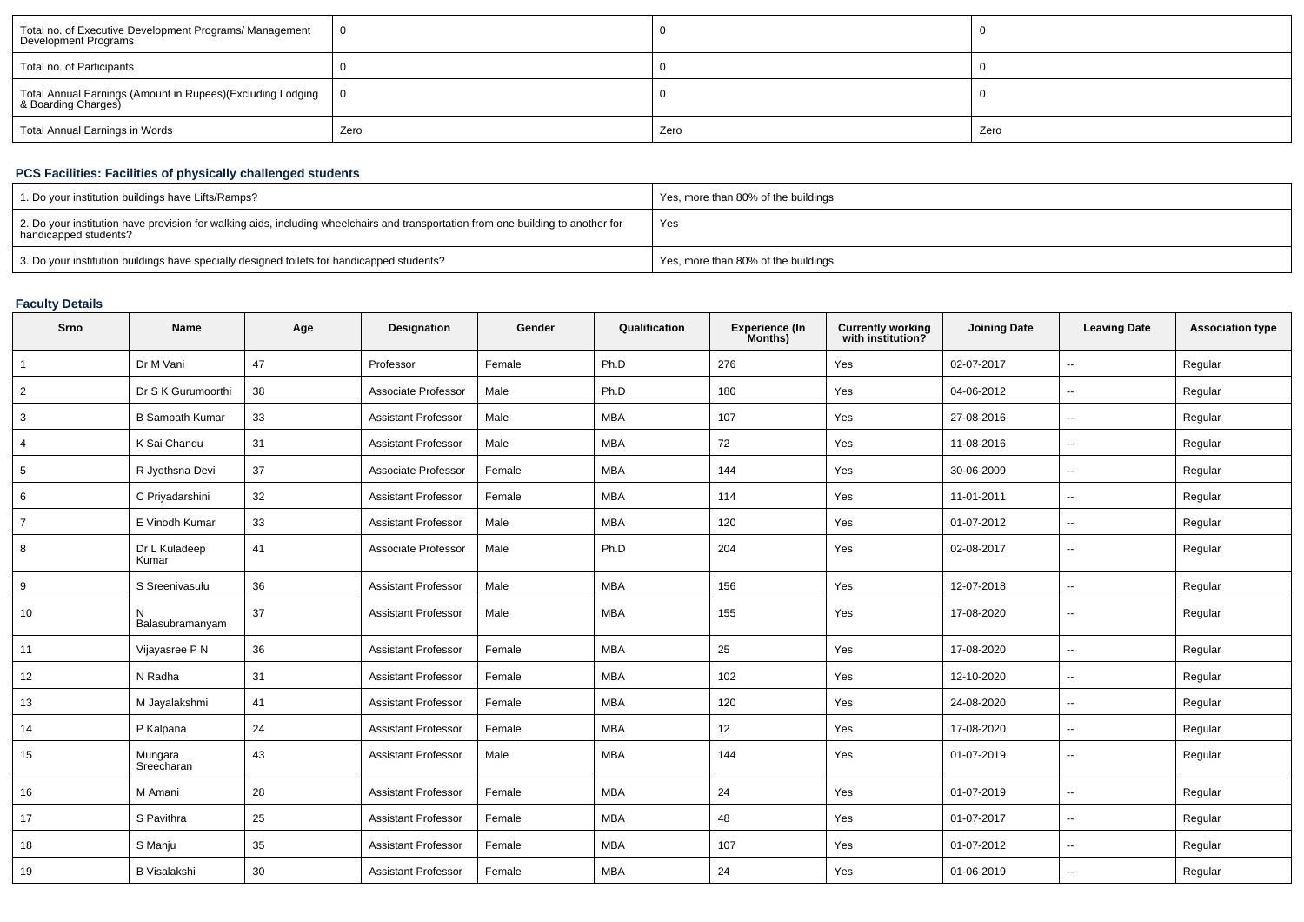| Total no. of Executive Development Programs/ Management<br>Development Programs   |      |      |      |
|-----------------------------------------------------------------------------------|------|------|------|
| Total no. of Participants                                                         |      |      |      |
| Total Annual Earnings (Amount in Rupees)(Excluding Lodging<br>& Boarding Charges) |      |      |      |
| Total Annual Earnings in Words                                                    | Zero | Zero | Zero |

# **PCS Facilities: Facilities of physically challenged students**

| 1. Do your institution buildings have Lifts/Ramps?                                                                                                         | Yes, more than 80% of the buildings |
|------------------------------------------------------------------------------------------------------------------------------------------------------------|-------------------------------------|
| 2. Do your institution have provision for walking aids, including wheelchairs and transportation from one building to another for<br>handicapped students? | Yes                                 |
| 3. Do your institution buildings have specially designed toilets for handicapped students?                                                                 | Yes, more than 80% of the buildings |

# **Faculty Details**

| Srno           | <b>Name</b>            | Age | Designation                | Gender | Qualification | Experience (In<br>Months) | <b>Currently working</b><br>with institution? | <b>Joining Date</b> | <b>Leaving Date</b>      | <b>Association type</b> |
|----------------|------------------------|-----|----------------------------|--------|---------------|---------------------------|-----------------------------------------------|---------------------|--------------------------|-------------------------|
|                | Dr M Vani              | 47  | Professor                  | Female | Ph.D          | 276                       | Yes                                           | 02-07-2017          | --                       | Regular                 |
| $\overline{2}$ | Dr S K Gurumoorthi     | 38  | Associate Professor        | Male   | Ph.D          | 180                       | Yes                                           | 04-06-2012          | $\overline{\phantom{a}}$ | Regular                 |
| 3              | <b>B Sampath Kumar</b> | 33  | <b>Assistant Professor</b> | Male   | <b>MBA</b>    | 107                       | Yes                                           | 27-08-2016          | $\overline{\phantom{a}}$ | Regular                 |
| $\overline{4}$ | K Sai Chandu           | 31  | <b>Assistant Professor</b> | Male   | <b>MBA</b>    | 72                        | Yes                                           | 11-08-2016          | $\sim$                   | Regular                 |
| 5              | R Jyothsna Devi        | 37  | Associate Professor        | Female | <b>MBA</b>    | 144                       | Yes                                           | 30-06-2009          | $\sim$                   | Regular                 |
| 6              | C Priyadarshini        | 32  | <b>Assistant Professor</b> | Female | <b>MBA</b>    | 114                       | Yes                                           | 11-01-2011          | $\overline{\phantom{a}}$ | Regular                 |
| $\overline{7}$ | E Vinodh Kumar         | 33  | <b>Assistant Professor</b> | Male   | <b>MBA</b>    | 120                       | Yes                                           | 01-07-2012          | $\overline{a}$           | Regular                 |
| 8              | Dr L Kuladeep<br>Kumar | 41  | Associate Professor        | Male   | Ph.D          | 204                       | Yes                                           | 02-08-2017          | $\overline{\phantom{a}}$ | Regular                 |
| 9              | S Sreenivasulu         | 36  | <b>Assistant Professor</b> | Male   | <b>MBA</b>    | 156                       | Yes                                           | 12-07-2018          | ۰.                       | Regular                 |
| 10             | N<br>Balasubramanyam   | 37  | Assistant Professo         | Male   | <b>MBA</b>    | 155                       | Yes                                           | 17-08-2020          | $\sim$                   | Regular                 |
| 11             | Vijayasree P N         | 36  | <b>Assistant Professor</b> | Female | <b>MBA</b>    | 25                        | Yes                                           | 17-08-2020          | $\overline{\phantom{a}}$ | Regular                 |
| 12             | N Radha                | 31  | <b>Assistant Professor</b> | Female | <b>MBA</b>    | 102                       | Yes                                           | 12-10-2020          | $\mathbf{u}$             | Regular                 |
| 13             | M Jayalakshmi          | 41  | <b>Assistant Professor</b> | Female | <b>MBA</b>    | 120                       | Yes                                           | 24-08-2020          | $\overline{\phantom{a}}$ | Regular                 |
| 14             | P Kalpana              | 24  | Assistant Professor        | Female | <b>MBA</b>    | 12                        | Yes                                           | 17-08-2020          | $\overline{a}$           | Regular                 |
| 15             | Mungara<br>Sreecharan  | 43  | <b>Assistant Professor</b> | Male   | <b>MBA</b>    | 144                       | Yes                                           | 01-07-2019          | --                       | Regular                 |
| 16             | M Amani                | 28  | <b>Assistant Professor</b> | Female | <b>MBA</b>    | 24                        | Yes                                           | 01-07-2019          | $\overline{\phantom{a}}$ | Regular                 |
| 17             | S Pavithra             | 25  | <b>Assistant Professor</b> | Female | <b>MBA</b>    | 48                        | Yes                                           | 01-07-2017          | $\overline{\phantom{a}}$ | Regular                 |
| 18             | S Manju                | 35  | <b>Assistant Professor</b> | Female | <b>MBA</b>    | 107                       | Yes                                           | 01-07-2012          | $\overline{\phantom{a}}$ | Regular                 |
| 19             | <b>B</b> Visalakshi    | 30  | <b>Assistant Professor</b> | Female | <b>MBA</b>    | 24                        | Yes                                           | 01-06-2019          |                          | Regular                 |